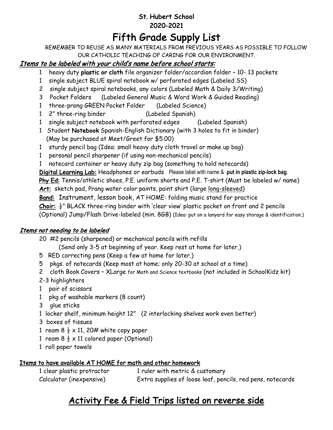# St. Hubert School 2020-2021

Fifth Grade Supply List<br>REMEMBER TO REUSE AS MANY MATERIALS FROM PREVIOUS YEARS AS POSSIBLE TO FOLLOW OUR CATHOLIC TEACHING OF CARING FOR OUR ENVIRONMENT.

#### Items to be labeled with your child's name before school starts:

- 1 heavy duty plastic or cloth file organizer folder/accordion folder 10- 13 pockets
- 1 single subject BLUE spiral notebook w/ perforated edges (Labeled SS)
- 2 single subject spiral notebooks, any colors (Labeled Math & Daily 3/Writing)
- 3 Pocket Folders (Labeled General Music & Word Work & Guided Reading)
- 1 three-prong GREEN Pocket Folder (Labeled Science)
- 1 2" three-ring binder (Labeled Spanish)
- 1 single subject notebook with perforated edges (Labeled Spanish)
- 1 Student Notebook Spanish-English Dictionary (with 3 holes to fit in binder) (May be purchased at Meet/Greet for \$5.00)
- 1 sturdy pencil bag (Idea: small heavy duty cloth travel or make up bag)
- 1 personal pencil sharpener (if using non-mechanical pencils)
- 1 notecard container or heavy duty zip bag (something to hold notecards)

Digital Learning Lab: Headphones or earbuds Please label with name & **put in plastic zip-lock bag**. Phy Ed: Tennis/athletic shoes, P.E. uniform shorts and P.E. T-shirt (Must be labeled w/ name) Art: sketch pad, Prang water color paints, paint shirt (large long-sleeved) Band: Instrument, lesson book, AT HOME: folding music stand for practice **Choir:**  $\frac{1}{2}$ " BLACK three-ring binder with 'clear view' plastic pocket on front and 2 pencils (Optional) Jump/Flash Drive-labeled (min. 8GB) (Idea: put on a lanyard for easy storage & identification.)

#### Items not needing to be labeled

- 20 #2 pencils (sharpened) or mechanical pencils with refills
	- (Send only 3-5 at beginning of year. Keep rest at home for later.)
- 5 RED correcting pens (Keep a few at home for later.)
- 5 pkgs. of notecards (Keep most at home; only 20-30 at school at a time)
- 2 cloth Book Covers XLarge for Math and Science textbooks (not included in SchoolKidz kit)
- 2-3 highlighters
- 1 pair of scissors
- 1 pkg of washable markers (8 count)
- 3 alue sticks
- 1 locker shelf, minimum height 12" (2 interlocking shelves work even better)
- 3 boxes of tissues
- 1 ream  $8\frac{1}{2} \times 11$ , 20# white copy paper
- 1 ream  $8\frac{1}{2} \times 11$  colored paper (Optional)
- 1 roll paper towels

#### Items to have available AT HOME for math and other homework

| 1 clear plastic protractor | 1 ruler with metric & customary                            |
|----------------------------|------------------------------------------------------------|
| Calculator (inexpensive)   | Extra supplies of loose leaf, pencils, red pens, notecards |

## Activity Fee & Field Trips listed on reverse side